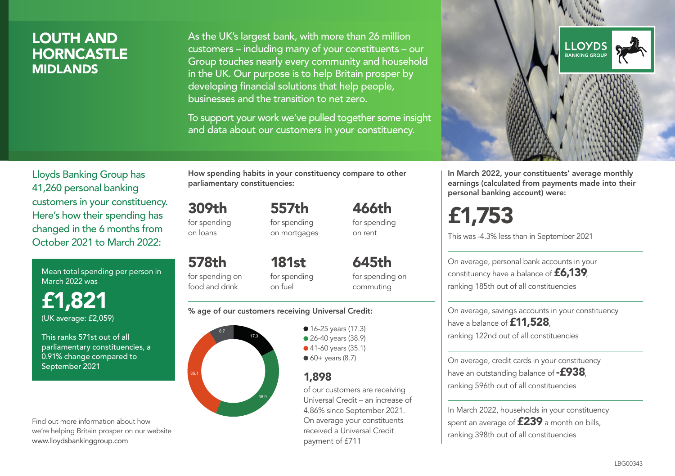### LOUTH AND **HORNCASTLE** MIDLANDS

As the UK's largest bank, with more than 26 million customers – including many of your constituents – our Group touches nearly every community and household in the UK. Our purpose is to help Britain prosper by developing financial solutions that help people, businesses and the transition to net zero.

To support your work we've pulled together some insight and data about our customers in your constituency.



Mean total spending per person in March 2022 was

£1,821 (UK average: £2,059)

This ranks 571st out of all parliamentary constituencies, a 0.91% change compared to September 2021

Find out more information about how we're helping Britain prosper on our website www.lloydsbankinggroup.com

How spending habits in your constituency compare to other parliamentary constituencies:

309th for spending 557th for spending

on loans

578th

on mortgages

for spending on food and drink 181st for spending on fuel

for spending on commuting

645th

466th for spending on rent

#### % age of our customers receiving Universal Credit:



• 16-25 years (17.3) **26-40 years (38.9)** ● 41-60 years (35.1)  $60+$  years (8.7)

#### 1,898

of our customers are receiving Universal Credit – an increase of 4.86% since September 2021. On average your constituents received a Universal Credit payment of £711



In March 2022, your constituents' average monthly earnings (calculated from payments made into their personal banking account) were:

# £1,753

This was -4.3% less than in September 2021

On average, personal bank accounts in your constituency have a balance of £6,139, ranking 185th out of all constituencies

On average, savings accounts in your constituency have a balance of **£11,528** ranking 122nd out of all constituencies

On average, credit cards in your constituency have an outstanding balance of  $-$ £938. ranking 596th out of all constituencies

In March 2022, households in your constituency spent an average of **£239** a month on bills, ranking 398th out of all constituencies